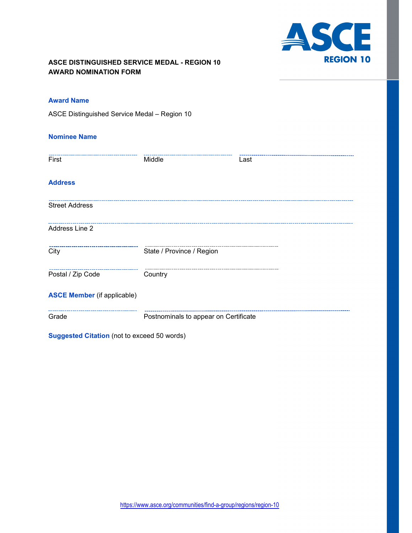

## **ASCE DISTINGUISHED SERVICE MEDAL - REGION 10 AWARD NOMINATION FORM**

## **Award Name**

ASCE Distinguished Service Medal – Region 10

### **Nominee Name**

| First                              | Middle                                | Last |
|------------------------------------|---------------------------------------|------|
| <b>Address</b>                     |                                       |      |
| <b>Street Address</b>              |                                       |      |
| Address Line 2                     |                                       |      |
| City                               | State / Province / Region             |      |
| Postal / Zip Code                  | Country                               |      |
| <b>ASCE Member</b> (if applicable) |                                       |      |
| Grade                              | Postnominals to appear on Certificate |      |

**Suggested Citation** (not to exceed 50 words)